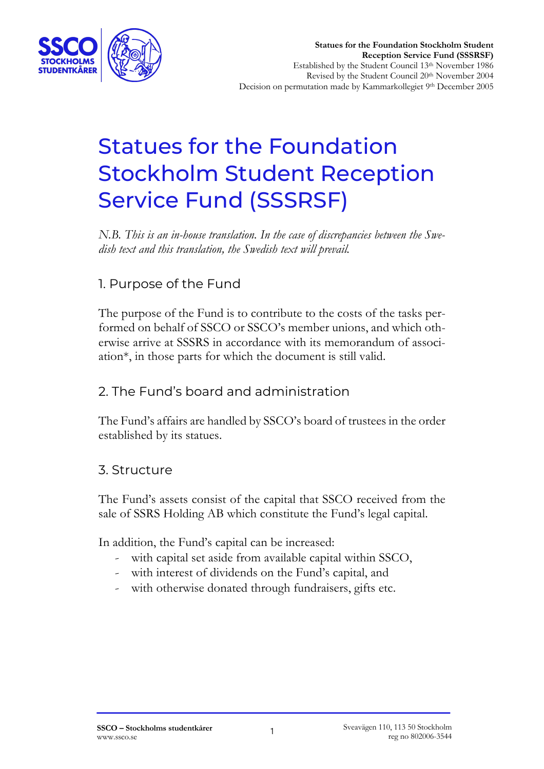

# Statues for the Foundation Stockholm Student Reception Service Fund (SSSRSF)

*N.B. This is an in-house translation. In the case of discrepancies between the Swedish text and this translation, the Swedish text will prevail.*

# 1. Purpose of the Fund

The purpose of the Fund is to contribute to the costs of the tasks performed on behalf of SSCO or SSCO's member unions, and which otherwise arrive at SSSRS in accordance with its memorandum of association\*, in those parts for which the document is still valid.

## 2. The Fund's board and administration

The Fund's affairs are handled by SSCO's board of trustees in the order established by its statues.

### 3. Structure

The Fund's assets consist of the capital that SSCO received from the sale of SSRS Holding AB which constitute the Fund's legal capital.

In addition, the Fund's capital can be increased:

- with capital set aside from available capital within SSCO,
- with interest of dividends on the Fund's capital, and
- with otherwise donated through fundraisers, gifts etc.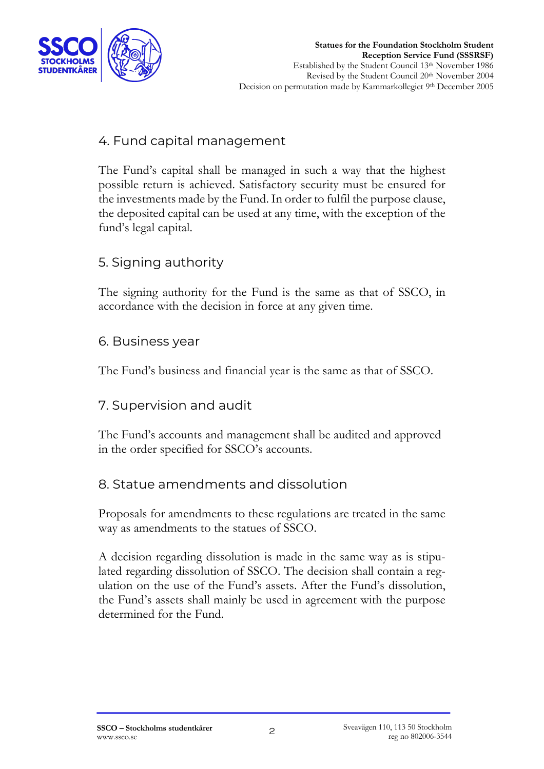

## 4. Fund capital management

The Fund's capital shall be managed in such a way that the highest possible return is achieved. Satisfactory security must be ensured for the investments made by the Fund. In order to fulfil the purpose clause, the deposited capital can be used at any time, with the exception of the fund's legal capital.

## 5. Signing authority

The signing authority for the Fund is the same as that of SSCO, in accordance with the decision in force at any given time.

#### 6. Business year

The Fund's business and financial year is the same as that of SSCO.

### 7. Supervision and audit

The Fund's accounts and management shall be audited and approved in the order specified for SSCO's accounts.

### 8. Statue amendments and dissolution

Proposals for amendments to these regulations are treated in the same way as amendments to the statues of SSCO.

A decision regarding dissolution is made in the same way as is stipulated regarding dissolution of SSCO. The decision shall contain a regulation on the use of the Fund's assets. After the Fund's dissolution, the Fund's assets shall mainly be used in agreement with the purpose determined for the Fund.